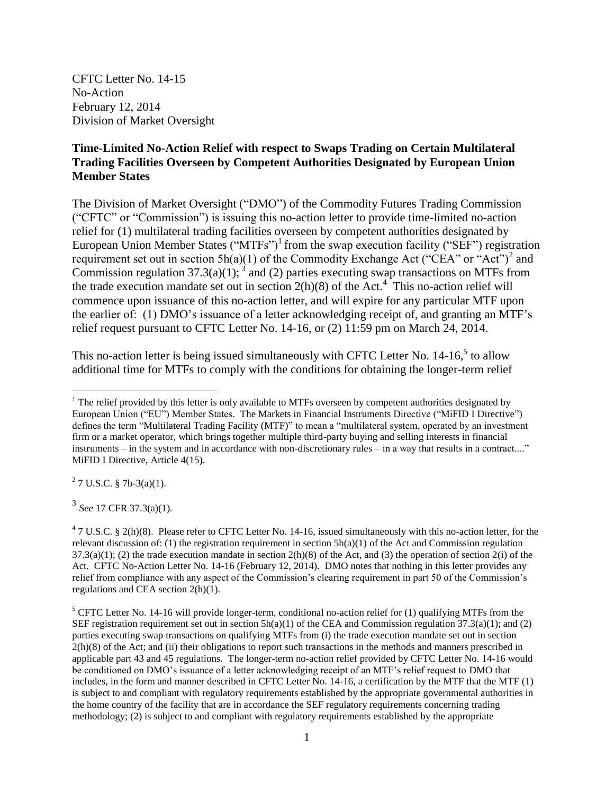CFTC Letter No. 14-15 No-Action February 12, 2014 Division of Market Oversight

## **Time-Limited No-Action Relief with respect to Swaps Trading on Certain Multilateral Trading Facilities Overseen by Competent Authorities Designated by European Union Member States**

The Division of Market Oversight ("DMO") of the Commodity Futures Trading Commission ("CFTC" or "Commission") is issuing this no-action letter to provide time-limited no-action relief for (1) multilateral trading facilities overseen by competent authorities designated by European Union Member States ("MTFs")<sup>1</sup> from the swap execution facility ("SEF") registration requirement set out in section  $5h(a)(1)$  of the Commodity Exchange Act ("CEA" or "Act")<sup>2</sup> and Commission regulation 37.3(a)(1);  $3 \text{ and } (2)$  parties executing swap transactions on MTFs from the trade execution mandate set out in section  $2(h)(8)$  of the Act.<sup>4</sup> This no-action relief will commence upon issuance of this no-action letter, and will expire for any particular MTF upon the earlier of: (1) DMO's issuance of a letter acknowledging receipt of, and granting an MTF's relief request pursuant to CFTC Letter No. 14-16, or (2) 11:59 pm on March 24, 2014.

This no-action letter is being issued simultaneously with CFTC Letter No. 14-16,<sup>5</sup> to allow additional time for MTFs to comply with the conditions for obtaining the longer-term relief

 $2^2$  7 U.S.C. § 7b-3(a)(1).

3 *See* 17 CFR 37.3(a)(1).

 $47$  U.S.C. § 2(h)(8). Please refer to CFTC Letter No. 14-16, issued simultaneously with this no-action letter, for the relevant discussion of: (1) the registration requirement in section  $5h(a)(1)$  of the Act and Commission regulation  $37.3(a)(1)$ ; (2) the trade execution mandate in section  $2(h)(8)$  of the Act, and (3) the operation of section  $2(i)$  of the Act. CFTC No-Action Letter No. 14-16 (February 12, 2014). DMO notes that nothing in this letter provides any relief from compliance with any aspect of the Commission's clearing requirement in part 50 of the Commission's regulations and CEA section 2(h)(1).

 $<sup>5</sup>$  CFTC Letter No. 14-16 will provide longer-term, conditional no-action relief for (1) qualifying MTFs from the</sup> SEF registration requirement set out in section  $5h(a)(1)$  of the CEA and Commission regulation 37.3(a)(1); and (2) parties executing swap transactions on qualifying MTFs from (i) the trade execution mandate set out in section 2(h)(8) of the Act; and (ii) their obligations to report such transactions in the methods and manners prescribed in applicable part 43 and 45 regulations. The longer-term no-action relief provided by CFTC Letter No. 14-16 would be conditioned on DMO's issuance of a letter acknowledging receipt of an MTF's relief request to DMO that includes, in the form and manner described in CFTC Letter No. 14-16, a certification by the MTF that the MTF (1) is subject to and compliant with regulatory requirements established by the appropriate governmental authorities in the home country of the facility that are in accordance the SEF regulatory requirements concerning trading methodology; (2) is subject to and compliant with regulatory requirements established by the appropriate

 $\overline{a}$ <sup>1</sup> The relief provided by this letter is only available to MTFs overseen by competent authorities designated by European Union ("EU") Member States. The Markets in Financial Instruments Directive ("MiFID I Directive") defines the term "Multilateral Trading Facility (MTF)" to mean a "multilateral system, operated by an investment firm or a market operator, which brings together multiple third-party buying and selling interests in financial instruments – in the system and in accordance with non-discretionary rules – in a way that results in a contract...." MiFID I Directive, Article 4(15).